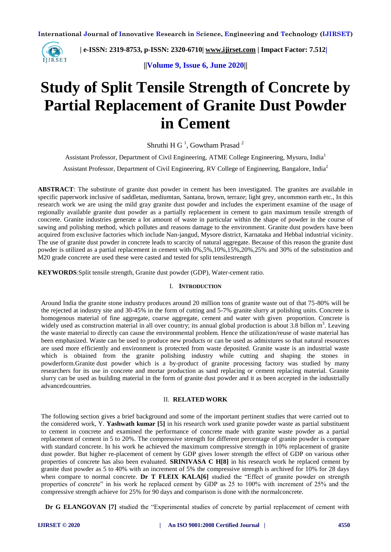

 **| e-ISSN: 2319-8753, p-ISSN: 2320-6710| [www.ijirset.com](http://www.ijirset.com/) | Impact Factor: 7.512|**

**||Volume 9, Issue 6, June 2020||** 

# **Study of Split Tensile Strength of Concrete by Partial Replacement of Granite Dust Powder in Cement**

Shruthi H G<sup> $1$ </sup>, Gowtham Prasad<sup>2</sup>

Assistant Professor, Department of Civil Engineering, ATME College Engineering, Mysuru, India<sup>1</sup>

Assistant Professor, Department of Civil Engineering, RV College of Engineering, Bangalore, India<sup>2</sup>

**ABSTRACT**: The substitute of granite dust powder in cement has been investigated. The granites are available in specific paperwork inclusive of saddletan, mediumtan, Santana, brown, terraze; light grey, uncommon earth etc., In this research work we are using the mild gray granite dust powder and includes the experiment examine of the usage of regionally available granite dust powder as a partially replacement in cement to gain maximum tensile strength of concrete. Granite industries generate a lot amount of waste in particular within the shape of powder in the course of sawing and polishing method, which pollutes and reasons damage to the environment. Granite dust powders have been acquired from exclusive factories which include Nan-jangud, Mysore district, Karnataka and Hebbal industrial vicinity. The use of granite dust powder in concrete leads to scarcity of natural aggregate. Because of this reason the granite dust powder is utilized as a partial replacement in cement with 0%,5%,10%,15%,20%,25% and 30% of the substitution and M20 grade concrete are used these were casted and tested for split tensilestrength

**KEYWORDS**:Split tensile strength, Granite dust powder (GDP), Water-cement ratio.

#### I. **INTRODUCTION**

Around India the granite stone industry produces around 20 million tons of granite waste out of that 75-80% will be the rejected at industry site and 30-45% in the form of cutting and 5-7% granite slurry at polishing units. Concrete is homogenous material of fine aggregate, coarse aggregate, cement and water with given proportion. Concrete is widely used as construction material in all over country; its annual global production is about  $3.8$  billon m<sup>3</sup>. Leaving the waste material to directly can cause the environmental problem. Hence the utilization/reuse of waste material has been emphasized. Waste can be used to produce new products or can be used as admixtures so that natural resources are used more efficiently and environment is protected from waste deposited. Granite waste is an industrial waste which is obtained from the granite polishing industry while cutting and shaping the stones in powderform.Granite dust powder which is a by-product of granite processing factory was studied by many researchers for its use in concrete and mortar production as sand replacing or cement replacing material. Granite slurry can be used as building material in the form of granite dust powder and it as been accepted in the industrially advancedcountries.

#### II. **RELATED WORK**

The following section gives a brief background and some of the important pertinent studies that were carried out to the considered work, Y. **Yashwath kumar [5]** in his research work used granite powder waste as partial substituent to cement in concrete and examined the performance of concrete made with granite waste powder as a partial replacement of cement in 5 to 20%. The compressive strength for different percentage of granite powder is compare with standard concrete. In his work he achieved the maximum compressive strength in 10% replacement of granite dust powder. But higher re-placement of cement by GDP gives lower strength the effect of GDP on various other properties of concrete has also been evaluated. **SRINIVASA C H[8]** in his research work he replaced cement by granite dust powder as 5 to 40% with an increment of 5% the compressive strength is archived for 10% for 28 days when compare to normal concrete. **Dr T FLEIX KALA[6]** studied the "Effect of granite powder on strength properties of concrete" in his work he replaced cement by GDP as 25 to 100% with increment of 25% and the compressive strength achieve for 25% for 90 days and comparison is done with the normalconcrete.

**Dr G ELANGOVAN [7]** studied the "Experimental studies of concrete by partial replacement of cement with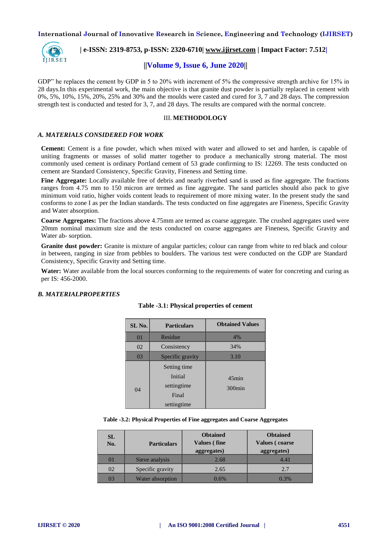

 **| e-ISSN: 2319-8753, p-ISSN: 2320-6710| [www.ijirset.com](http://www.ijirset.com/) | Impact Factor: 7.512|**

### **||Volume 9, Issue 6, June 2020||**

GDP" he replaces the cement by GDP in 5 to 20% with increment of 5% the compressive strength archive for 15% in 28 days.In this experimental work, the main objective is that granite dust powder is partially replaced in cement with  $0\%, 5\%, 10\%, 15\%, 20\%, 25\%$  and 30% and the moulds were casted and cured for  $3, 7$  and 28 days. The compression strength test is conducted and tested for 3, 7, and 28 days. The results are compared with the normal concrete.

#### III. **METHODOLOGY**

#### *A. MATERIALS CONSIDERED FOR WORK*

**Cement:** Cement is a fine powder, which when mixed with water and allowed to set and harden, is capable of uniting fragments or masses of solid matter together to produce a mechanically strong material. The most commonly used cement is ordinary Portland cement of 53 grade confirming to IS: 12269. The tests conducted on cement are Standard Consistency, Specific Gravity, Fineness and Setting time.

**Fine Aggregate:** Locally available free of debris and nearly riverbed sand is used as fine aggregate. The fractions ranges from 4.75 mm to 150 micron are termed as fine aggregate. The sand particles should also pack to give minimum void ratio, higher voids content leads to requirement of more mixing water. In the present study the sand conforms to zone I as per the Indian standards. The tests conducted on fine aggregates are Fineness, Specific Gravity and Water absorption.

**Coarse Aggregates:** The fractions above 4.75mm are termed as coarse aggregate. The crushed aggregates used were 20mm nominal maximum size and the tests conducted on coarse aggregates are Fineness, Specific Gravity and Water ab- sorption.

**Granite dust powder:** Granite is mixture of angular particles; colour can range from white to red black and colour in between, ranging in size from pebbles to boulders. The various test were conducted on the GDP are Standard Consistency, Specific Gravity and Setting time.

**Water:** Water available from the local sources conforming to the requirements of water for concreting and curing as per IS: 456-2000.

#### *B. MATERIALPROPERTIES*

| SL No.         | <b>Particulars</b>                                             | <b>Obtained Values</b> |
|----------------|----------------------------------------------------------------|------------------------|
| 0 <sub>1</sub> | Residue                                                        | 4%                     |
| 02             | Consistency                                                    | 34%                    |
| 03             | Specific gravity                                               | 3.10                   |
| 04             | Setting time<br>Initial<br>settingtime<br>Final<br>settingtime | $45$ min<br>$300$ min  |

#### **Table -3.1: Physical properties of cement**

**Table -3.2: Physical Properties of Fine aggregates and Coarse Aggregates**

| <b>SL</b><br>No. | <b>Particulars</b> | <b>Obtained</b><br><b>Values</b> (fine<br>aggregates) | <b>Obtained</b><br><b>Values</b> (coarse<br>aggregates) |
|------------------|--------------------|-------------------------------------------------------|---------------------------------------------------------|
| $\overline{0}$   | Sieve analysis     | 2.68                                                  | 4.41                                                    |
| 02               | Specific gravity   | 2.65                                                  | 2.7                                                     |
|                  | Water absorption   | $0.6\%$                                               | $0.3\%$                                                 |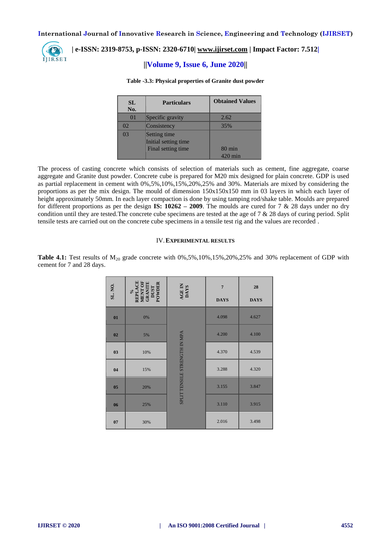

## **| e-ISSN: 2319-8753, p-ISSN: 2320-6710[| www.ijirset.com](http://www.ijirset.com/) | Impact Factor: 7.512|**

# **||Volume 9, Issue 6, June 2020||**

#### **Table -3.3: Physical properties of Granite dust powder**

| SL.<br>No.      | <b>Particulars</b>                                         | <b>Obtained Values</b>              |
|-----------------|------------------------------------------------------------|-------------------------------------|
| $\overline{01}$ | Specific gravity                                           | 2.62                                |
| O2              | Consistency                                                | 35%                                 |
| 03              | Setting time<br>Initial setting time<br>Final setting time | $80 \text{ min}$<br>$0 \text{ min}$ |

The process of casting concrete which consists of selection of materials such as cement, fine aggregate, coarse aggregate and Granite dust powder. Concrete cube is prepared for M20 mix designed for plain concrete. GDP is used as partial replacement in cement with 0%,5%,10%,15%,20%,25% and 30%. Materials are mixed by considering the proportions as per the mix design. The mould of dimension 150x150x150 mm in 03 layers in which each layer of height approximately 50mm. In each layer compaction is done by using tamping rod/shake table. Moulds are prepared for different proportions as per the design **IS: 10262 – 2009**. The moulds are cured for 7 & 28 days under no dry condition until they are tested.The concrete cube specimens are tested at the age of 7 & 28 days of curing period. Split tensile tests are carried out on the concrete cube specimens in a tensile test rig and the values are recorded..

#### IV.**EXPERIMENTAL RESULTS**

**Table 4.1:** Test results of  $M_{20}$  grade concrete with 0%,5%,10%,15%,20%,25% and 30% replacement of GDP with cement for 7 and 28 days.

| SL. NO.        | $\begin{array}{c} \gamma_0 \\ \text{REPLACE} \\ \text{MENT OF} \\ \text{GRANTIE} \\ \text{DUST} \\ \text{DUST} \\ \text{POWDER} \end{array}$ | AGE IN<br>DAYS                | $\overline{7}$<br><b>DAYS</b> | 28<br><b>DAYS</b> |
|----------------|----------------------------------------------------------------------------------------------------------------------------------------------|-------------------------------|-------------------------------|-------------------|
| 01             | 0%                                                                                                                                           | SPLIT TENSILE STRENGTH IN MPA | 4.098                         | 4.627             |
| 02             | 5%                                                                                                                                           |                               | 4.200                         | 4.100             |
| 03             | 10%                                                                                                                                          |                               | 4.370                         | 4.539             |
| 04             | 15%                                                                                                                                          |                               | 3.288                         | 4.320             |
| 0 <sub>5</sub> | 20%                                                                                                                                          |                               | 3.155                         | 3.847             |
| 06             | 25%                                                                                                                                          |                               | 3.110                         | 3.915             |
| 07             | 30%                                                                                                                                          |                               | 2.016                         | 3.498             |